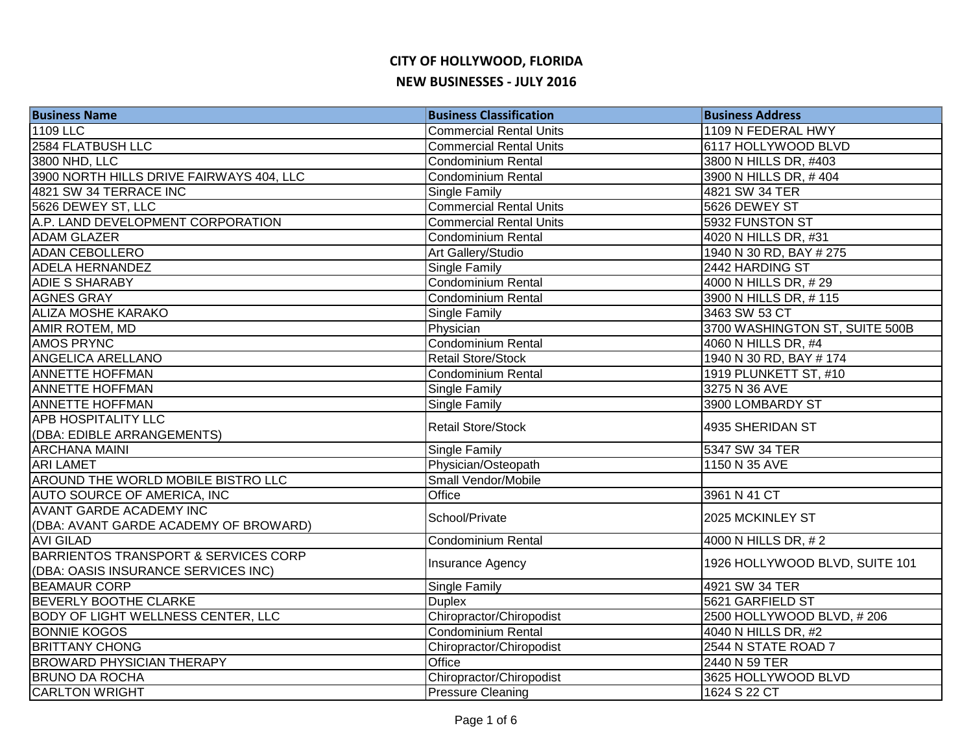| <b>Business Name</b>                      | <b>Business Classification</b> | <b>Business Address</b>        |
|-------------------------------------------|--------------------------------|--------------------------------|
| 1109 LLC                                  | <b>Commercial Rental Units</b> | 1109 N FEDERAL HWY             |
| 2584 FLATBUSH LLC                         | <b>Commercial Rental Units</b> | 6117 HOLLYWOOD BLVD            |
| 3800 NHD, LLC                             | <b>Condominium Rental</b>      | 3800 N HILLS DR, #403          |
| 3900 NORTH HILLS DRIVE FAIRWAYS 404, LLC  | <b>Condominium Rental</b>      | 3900 N HILLS DR, #404          |
| 4821 SW 34 TERRACE INC                    | Single Family                  | 4821 SW 34 TER                 |
| 5626 DEWEY ST, LLC                        | <b>Commercial Rental Units</b> | 5626 DEWEY ST                  |
| A.P. LAND DEVELOPMENT CORPORATION         | <b>Commercial Rental Units</b> | 5932 FUNSTON ST                |
| <b>ADAM GLAZER</b>                        | Condominium Rental             | 4020 N HILLS DR, #31           |
| <b>ADAN CEBOLLERO</b>                     | Art Gallery/Studio             | 1940 N 30 RD, BAY # 275        |
| <b>ADELA HERNANDEZ</b>                    | Single Family                  | 2442 HARDING ST                |
| <b>ADIE S SHARABY</b>                     | Condominium Rental             | 4000 N HILLS DR, #29           |
| <b>AGNES GRAY</b>                         | <b>Condominium Rental</b>      | 3900 N HILLS DR, #115          |
| <b>ALIZA MOSHE KARAKO</b>                 | Single Family                  | 3463 SW 53 CT                  |
| AMIR ROTEM, MD                            | Physician                      | 3700 WASHINGTON ST, SUITE 500B |
| <b>AMOS PRYNC</b>                         | Condominium Rental             | 4060 N HILLS DR, #4            |
| <b>ANGELICA ARELLANO</b>                  | <b>Retail Store/Stock</b>      | 1940 N 30 RD, BAY # 174        |
| <b>ANNETTE HOFFMAN</b>                    | <b>Condominium Rental</b>      | 1919 PLUNKETT ST, #10          |
| <b>ANNETTE HOFFMAN</b>                    | Single Family                  | 3275 N 36 AVE                  |
| <b>ANNETTE HOFFMAN</b>                    | Single Family                  | 3900 LOMBARDY ST               |
| <b>APB HOSPITALITY LLC</b>                | <b>Retail Store/Stock</b>      | 4935 SHERIDAN ST               |
| (DBA: EDIBLE ARRANGEMENTS)                |                                |                                |
| <b>ARCHANA MAINI</b>                      | Single Family                  | 5347 SW 34 TER                 |
| <b>ARI LAMET</b>                          | Physician/Osteopath            | 1150 N 35 AVE                  |
| AROUND THE WORLD MOBILE BISTRO LLC        | Small Vendor/Mobile            |                                |
| AUTO SOURCE OF AMERICA, INC               | Office                         | 3961 N 41 CT                   |
| <b>AVANT GARDE ACADEMY INC</b>            | School/Private                 | 2025 MCKINLEY ST               |
| (DBA: AVANT GARDE ACADEMY OF BROWARD)     |                                |                                |
| <b>AVI GILAD</b>                          | <b>Condominium Rental</b>      | 4000 N HILLS DR, #2            |
| BARRIENTOS TRANSPORT & SERVICES CORP      | Insurance Agency               | 1926 HOLLYWOOD BLVD, SUITE 101 |
| (DBA: OASIS INSURANCE SERVICES INC)       |                                |                                |
| <b>BEAMAUR CORP</b>                       | <b>Single Family</b>           | 4921 SW 34 TER                 |
| <b>BEVERLY BOOTHE CLARKE</b>              | <b>Duplex</b>                  | 5621 GARFIELD ST               |
| <b>BODY OF LIGHT WELLNESS CENTER, LLC</b> | Chiropractor/Chiropodist       | 2500 HOLLYWOOD BLVD, #206      |
| <b>BONNIE KOGOS</b>                       | Condominium Rental             | 4040 N HILLS DR, #2            |
| <b>BRITTANY CHONG</b>                     | Chiropractor/Chiropodist       | 2544 N STATE ROAD 7            |
| <b>BROWARD PHYSICIAN THERAPY</b>          | Office                         | 2440 N 59 TER                  |
| <b>BRUNO DA ROCHA</b>                     | Chiropractor/Chiropodist       | 3625 HOLLYWOOD BLVD            |
| <b>CARLTON WRIGHT</b>                     | <b>Pressure Cleaning</b>       | 1624 S 22 CT                   |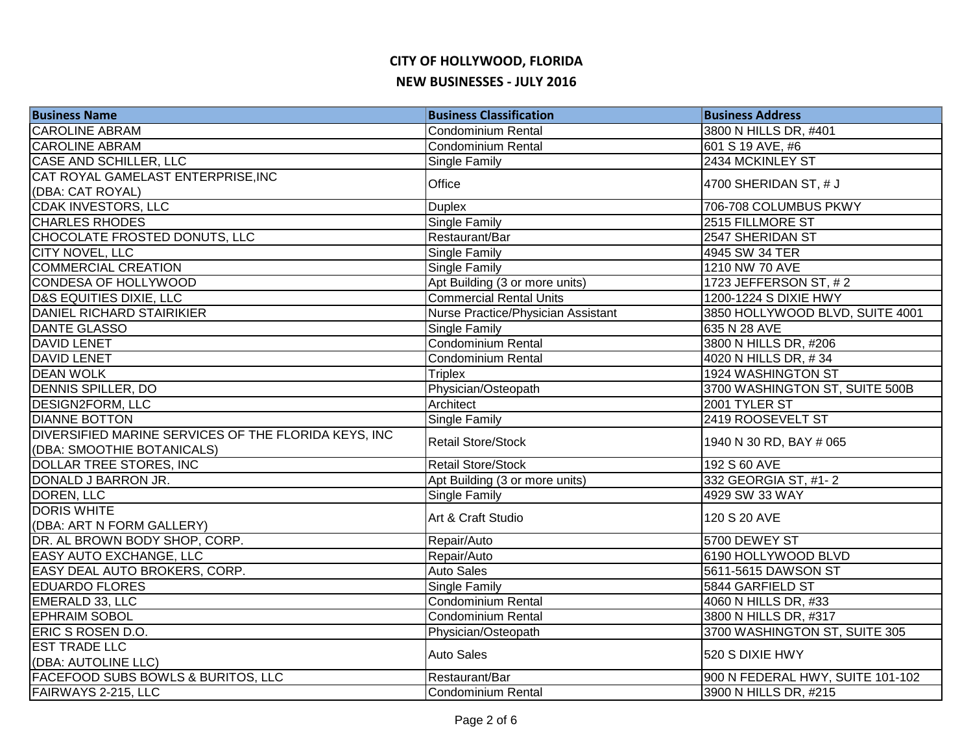| <b>CAROLINE ABRAM</b><br>3800 N HILLS DR, #401<br>Condominium Rental<br><b>CAROLINE ABRAM</b><br>601 S 19 AVE, #6<br>Condominium Rental<br><b>CASE AND SCHILLER, LLC</b><br>2434 MCKINLEY ST<br>Single Family<br>CAT ROYAL GAMELAST ENTERPRISE, INC<br>Office<br>4700 SHERIDAN ST, # J<br>(DBA: CAT ROYAL)<br><b>CDAK INVESTORS, LLC</b><br><b>Duplex</b><br>706-708 COLUMBUS PKWY<br><b>CHARLES RHODES</b><br>Single Family<br>2515 FILLMORE ST<br>CHOCOLATE FROSTED DONUTS, LLC<br>Restaurant/Bar<br>2547 SHERIDAN ST<br>CITY NOVEL, LLC<br>4945 SW 34 TER<br>Single Family<br><b>COMMERCIAL CREATION</b><br>Single Family<br>1210 NW 70 AVE<br>CONDESA OF HOLLYWOOD<br>Apt Building (3 or more units)<br>1723 JEFFERSON ST, #2<br><b>D&amp;S EQUITIES DIXIE, LLC</b><br><b>Commercial Rental Units</b><br>1200-1224 S DIXIE HWY<br>DANIEL RICHARD STAIRIKIER<br>3850 HOLLYWOOD BLVD, SUITE 4001<br>Nurse Practice/Physician Assistant<br><b>DANTE GLASSO</b><br>635 N 28 AVE<br>Single Family<br><b>DAVID LENET</b><br>Condominium Rental<br>3800 N HILLS DR, #206<br><b>DAVID LENET</b><br>Condominium Rental<br>4020 N HILLS DR, #34<br><b>DEAN WOLK</b><br>1924 WASHINGTON ST<br><b>Triplex</b><br>Physician/Osteopath<br>DENNIS SPILLER, DO<br>3700 WASHINGTON ST, SUITE 500B<br><b>DESIGN2FORM, LLC</b><br>Architect<br>2001 TYLER ST<br><b>DIANNE BOTTON</b><br>Single Family<br>2419 ROOSEVELT ST<br>DIVERSIFIED MARINE SERVICES OF THE FLORIDA KEYS, INC<br><b>Retail Store/Stock</b><br>1940 N 30 RD, BAY # 065<br>(DBA: SMOOTHIE BOTANICALS)<br><b>DOLLAR TREE STORES, INC</b><br><b>Retail Store/Stock</b><br>192 S 60 AVE<br>DONALD J BARRON JR.<br>332 GEORGIA ST, #1-2<br>Apt Building (3 or more units)<br>DOREN, LLC<br>4929 SW 33 WAY<br>Single Family<br><b>DORIS WHITE</b><br>Art & Craft Studio<br>120 S 20 AVE<br>(DBA: ART N FORM GALLERY)<br>DR. AL BROWN BODY SHOP, CORP.<br>Repair/Auto<br>5700 DEWEY ST<br>EASY AUTO EXCHANGE, LLC<br>Repair/Auto<br>6190 HOLLYWOOD BLVD<br>EASY DEAL AUTO BROKERS, CORP.<br><b>Auto Sales</b><br>5611-5615 DAWSON ST<br><b>EDUARDO FLORES</b><br>Single Family<br>5844 GARFIELD ST<br>EMERALD 33, LLC<br><b>Condominium Rental</b><br>4060 N HILLS DR, #33<br><b>EPHRAIM SOBOL</b><br>Condominium Rental<br>3800 N HILLS DR, #317<br>3700 WASHINGTON ST, SUITE 305<br>ERIC S ROSEN D.O.<br>Physician/Osteopath<br><b>EST TRADE LLC</b><br><b>Auto Sales</b><br>520 S DIXIE HWY<br>(DBA: AUTOLINE LLC)<br><b>FACEFOOD SUBS BOWLS &amp; BURITOS, LLC</b><br>900 N FEDERAL HWY, SUITE 101-102<br>Restaurant/Bar<br>FAIRWAYS 2-215, LLC<br>Condominium Rental<br>3900 N HILLS DR, #215 | <b>Business Name</b> | <b>Business Classification</b> | <b>Business Address</b> |
|--------------------------------------------------------------------------------------------------------------------------------------------------------------------------------------------------------------------------------------------------------------------------------------------------------------------------------------------------------------------------------------------------------------------------------------------------------------------------------------------------------------------------------------------------------------------------------------------------------------------------------------------------------------------------------------------------------------------------------------------------------------------------------------------------------------------------------------------------------------------------------------------------------------------------------------------------------------------------------------------------------------------------------------------------------------------------------------------------------------------------------------------------------------------------------------------------------------------------------------------------------------------------------------------------------------------------------------------------------------------------------------------------------------------------------------------------------------------------------------------------------------------------------------------------------------------------------------------------------------------------------------------------------------------------------------------------------------------------------------------------------------------------------------------------------------------------------------------------------------------------------------------------------------------------------------------------------------------------------------------------------------------------------------------------------------------------------------------------------------------------------------------------------------------------------------------------------------------------------------------------------------------------------------------------------------------------------------------------------------------------------------------------------------------------------------------------------------------------------------------------------------------------------------------------------------------------------------------------------------------------------------------------|----------------------|--------------------------------|-------------------------|
|                                                                                                                                                                                                                                                                                                                                                                                                                                                                                                                                                                                                                                                                                                                                                                                                                                                                                                                                                                                                                                                                                                                                                                                                                                                                                                                                                                                                                                                                                                                                                                                                                                                                                                                                                                                                                                                                                                                                                                                                                                                                                                                                                                                                                                                                                                                                                                                                                                                                                                                                                                                                                                                  |                      |                                |                         |
|                                                                                                                                                                                                                                                                                                                                                                                                                                                                                                                                                                                                                                                                                                                                                                                                                                                                                                                                                                                                                                                                                                                                                                                                                                                                                                                                                                                                                                                                                                                                                                                                                                                                                                                                                                                                                                                                                                                                                                                                                                                                                                                                                                                                                                                                                                                                                                                                                                                                                                                                                                                                                                                  |                      |                                |                         |
|                                                                                                                                                                                                                                                                                                                                                                                                                                                                                                                                                                                                                                                                                                                                                                                                                                                                                                                                                                                                                                                                                                                                                                                                                                                                                                                                                                                                                                                                                                                                                                                                                                                                                                                                                                                                                                                                                                                                                                                                                                                                                                                                                                                                                                                                                                                                                                                                                                                                                                                                                                                                                                                  |                      |                                |                         |
|                                                                                                                                                                                                                                                                                                                                                                                                                                                                                                                                                                                                                                                                                                                                                                                                                                                                                                                                                                                                                                                                                                                                                                                                                                                                                                                                                                                                                                                                                                                                                                                                                                                                                                                                                                                                                                                                                                                                                                                                                                                                                                                                                                                                                                                                                                                                                                                                                                                                                                                                                                                                                                                  |                      |                                |                         |
|                                                                                                                                                                                                                                                                                                                                                                                                                                                                                                                                                                                                                                                                                                                                                                                                                                                                                                                                                                                                                                                                                                                                                                                                                                                                                                                                                                                                                                                                                                                                                                                                                                                                                                                                                                                                                                                                                                                                                                                                                                                                                                                                                                                                                                                                                                                                                                                                                                                                                                                                                                                                                                                  |                      |                                |                         |
|                                                                                                                                                                                                                                                                                                                                                                                                                                                                                                                                                                                                                                                                                                                                                                                                                                                                                                                                                                                                                                                                                                                                                                                                                                                                                                                                                                                                                                                                                                                                                                                                                                                                                                                                                                                                                                                                                                                                                                                                                                                                                                                                                                                                                                                                                                                                                                                                                                                                                                                                                                                                                                                  |                      |                                |                         |
|                                                                                                                                                                                                                                                                                                                                                                                                                                                                                                                                                                                                                                                                                                                                                                                                                                                                                                                                                                                                                                                                                                                                                                                                                                                                                                                                                                                                                                                                                                                                                                                                                                                                                                                                                                                                                                                                                                                                                                                                                                                                                                                                                                                                                                                                                                                                                                                                                                                                                                                                                                                                                                                  |                      |                                |                         |
|                                                                                                                                                                                                                                                                                                                                                                                                                                                                                                                                                                                                                                                                                                                                                                                                                                                                                                                                                                                                                                                                                                                                                                                                                                                                                                                                                                                                                                                                                                                                                                                                                                                                                                                                                                                                                                                                                                                                                                                                                                                                                                                                                                                                                                                                                                                                                                                                                                                                                                                                                                                                                                                  |                      |                                |                         |
|                                                                                                                                                                                                                                                                                                                                                                                                                                                                                                                                                                                                                                                                                                                                                                                                                                                                                                                                                                                                                                                                                                                                                                                                                                                                                                                                                                                                                                                                                                                                                                                                                                                                                                                                                                                                                                                                                                                                                                                                                                                                                                                                                                                                                                                                                                                                                                                                                                                                                                                                                                                                                                                  |                      |                                |                         |
|                                                                                                                                                                                                                                                                                                                                                                                                                                                                                                                                                                                                                                                                                                                                                                                                                                                                                                                                                                                                                                                                                                                                                                                                                                                                                                                                                                                                                                                                                                                                                                                                                                                                                                                                                                                                                                                                                                                                                                                                                                                                                                                                                                                                                                                                                                                                                                                                                                                                                                                                                                                                                                                  |                      |                                |                         |
|                                                                                                                                                                                                                                                                                                                                                                                                                                                                                                                                                                                                                                                                                                                                                                                                                                                                                                                                                                                                                                                                                                                                                                                                                                                                                                                                                                                                                                                                                                                                                                                                                                                                                                                                                                                                                                                                                                                                                                                                                                                                                                                                                                                                                                                                                                                                                                                                                                                                                                                                                                                                                                                  |                      |                                |                         |
|                                                                                                                                                                                                                                                                                                                                                                                                                                                                                                                                                                                                                                                                                                                                                                                                                                                                                                                                                                                                                                                                                                                                                                                                                                                                                                                                                                                                                                                                                                                                                                                                                                                                                                                                                                                                                                                                                                                                                                                                                                                                                                                                                                                                                                                                                                                                                                                                                                                                                                                                                                                                                                                  |                      |                                |                         |
|                                                                                                                                                                                                                                                                                                                                                                                                                                                                                                                                                                                                                                                                                                                                                                                                                                                                                                                                                                                                                                                                                                                                                                                                                                                                                                                                                                                                                                                                                                                                                                                                                                                                                                                                                                                                                                                                                                                                                                                                                                                                                                                                                                                                                                                                                                                                                                                                                                                                                                                                                                                                                                                  |                      |                                |                         |
|                                                                                                                                                                                                                                                                                                                                                                                                                                                                                                                                                                                                                                                                                                                                                                                                                                                                                                                                                                                                                                                                                                                                                                                                                                                                                                                                                                                                                                                                                                                                                                                                                                                                                                                                                                                                                                                                                                                                                                                                                                                                                                                                                                                                                                                                                                                                                                                                                                                                                                                                                                                                                                                  |                      |                                |                         |
|                                                                                                                                                                                                                                                                                                                                                                                                                                                                                                                                                                                                                                                                                                                                                                                                                                                                                                                                                                                                                                                                                                                                                                                                                                                                                                                                                                                                                                                                                                                                                                                                                                                                                                                                                                                                                                                                                                                                                                                                                                                                                                                                                                                                                                                                                                                                                                                                                                                                                                                                                                                                                                                  |                      |                                |                         |
|                                                                                                                                                                                                                                                                                                                                                                                                                                                                                                                                                                                                                                                                                                                                                                                                                                                                                                                                                                                                                                                                                                                                                                                                                                                                                                                                                                                                                                                                                                                                                                                                                                                                                                                                                                                                                                                                                                                                                                                                                                                                                                                                                                                                                                                                                                                                                                                                                                                                                                                                                                                                                                                  |                      |                                |                         |
|                                                                                                                                                                                                                                                                                                                                                                                                                                                                                                                                                                                                                                                                                                                                                                                                                                                                                                                                                                                                                                                                                                                                                                                                                                                                                                                                                                                                                                                                                                                                                                                                                                                                                                                                                                                                                                                                                                                                                                                                                                                                                                                                                                                                                                                                                                                                                                                                                                                                                                                                                                                                                                                  |                      |                                |                         |
|                                                                                                                                                                                                                                                                                                                                                                                                                                                                                                                                                                                                                                                                                                                                                                                                                                                                                                                                                                                                                                                                                                                                                                                                                                                                                                                                                                                                                                                                                                                                                                                                                                                                                                                                                                                                                                                                                                                                                                                                                                                                                                                                                                                                                                                                                                                                                                                                                                                                                                                                                                                                                                                  |                      |                                |                         |
|                                                                                                                                                                                                                                                                                                                                                                                                                                                                                                                                                                                                                                                                                                                                                                                                                                                                                                                                                                                                                                                                                                                                                                                                                                                                                                                                                                                                                                                                                                                                                                                                                                                                                                                                                                                                                                                                                                                                                                                                                                                                                                                                                                                                                                                                                                                                                                                                                                                                                                                                                                                                                                                  |                      |                                |                         |
|                                                                                                                                                                                                                                                                                                                                                                                                                                                                                                                                                                                                                                                                                                                                                                                                                                                                                                                                                                                                                                                                                                                                                                                                                                                                                                                                                                                                                                                                                                                                                                                                                                                                                                                                                                                                                                                                                                                                                                                                                                                                                                                                                                                                                                                                                                                                                                                                                                                                                                                                                                                                                                                  |                      |                                |                         |
|                                                                                                                                                                                                                                                                                                                                                                                                                                                                                                                                                                                                                                                                                                                                                                                                                                                                                                                                                                                                                                                                                                                                                                                                                                                                                                                                                                                                                                                                                                                                                                                                                                                                                                                                                                                                                                                                                                                                                                                                                                                                                                                                                                                                                                                                                                                                                                                                                                                                                                                                                                                                                                                  |                      |                                |                         |
|                                                                                                                                                                                                                                                                                                                                                                                                                                                                                                                                                                                                                                                                                                                                                                                                                                                                                                                                                                                                                                                                                                                                                                                                                                                                                                                                                                                                                                                                                                                                                                                                                                                                                                                                                                                                                                                                                                                                                                                                                                                                                                                                                                                                                                                                                                                                                                                                                                                                                                                                                                                                                                                  |                      |                                |                         |
|                                                                                                                                                                                                                                                                                                                                                                                                                                                                                                                                                                                                                                                                                                                                                                                                                                                                                                                                                                                                                                                                                                                                                                                                                                                                                                                                                                                                                                                                                                                                                                                                                                                                                                                                                                                                                                                                                                                                                                                                                                                                                                                                                                                                                                                                                                                                                                                                                                                                                                                                                                                                                                                  |                      |                                |                         |
|                                                                                                                                                                                                                                                                                                                                                                                                                                                                                                                                                                                                                                                                                                                                                                                                                                                                                                                                                                                                                                                                                                                                                                                                                                                                                                                                                                                                                                                                                                                                                                                                                                                                                                                                                                                                                                                                                                                                                                                                                                                                                                                                                                                                                                                                                                                                                                                                                                                                                                                                                                                                                                                  |                      |                                |                         |
|                                                                                                                                                                                                                                                                                                                                                                                                                                                                                                                                                                                                                                                                                                                                                                                                                                                                                                                                                                                                                                                                                                                                                                                                                                                                                                                                                                                                                                                                                                                                                                                                                                                                                                                                                                                                                                                                                                                                                                                                                                                                                                                                                                                                                                                                                                                                                                                                                                                                                                                                                                                                                                                  |                      |                                |                         |
|                                                                                                                                                                                                                                                                                                                                                                                                                                                                                                                                                                                                                                                                                                                                                                                                                                                                                                                                                                                                                                                                                                                                                                                                                                                                                                                                                                                                                                                                                                                                                                                                                                                                                                                                                                                                                                                                                                                                                                                                                                                                                                                                                                                                                                                                                                                                                                                                                                                                                                                                                                                                                                                  |                      |                                |                         |
|                                                                                                                                                                                                                                                                                                                                                                                                                                                                                                                                                                                                                                                                                                                                                                                                                                                                                                                                                                                                                                                                                                                                                                                                                                                                                                                                                                                                                                                                                                                                                                                                                                                                                                                                                                                                                                                                                                                                                                                                                                                                                                                                                                                                                                                                                                                                                                                                                                                                                                                                                                                                                                                  |                      |                                |                         |
|                                                                                                                                                                                                                                                                                                                                                                                                                                                                                                                                                                                                                                                                                                                                                                                                                                                                                                                                                                                                                                                                                                                                                                                                                                                                                                                                                                                                                                                                                                                                                                                                                                                                                                                                                                                                                                                                                                                                                                                                                                                                                                                                                                                                                                                                                                                                                                                                                                                                                                                                                                                                                                                  |                      |                                |                         |
|                                                                                                                                                                                                                                                                                                                                                                                                                                                                                                                                                                                                                                                                                                                                                                                                                                                                                                                                                                                                                                                                                                                                                                                                                                                                                                                                                                                                                                                                                                                                                                                                                                                                                                                                                                                                                                                                                                                                                                                                                                                                                                                                                                                                                                                                                                                                                                                                                                                                                                                                                                                                                                                  |                      |                                |                         |
|                                                                                                                                                                                                                                                                                                                                                                                                                                                                                                                                                                                                                                                                                                                                                                                                                                                                                                                                                                                                                                                                                                                                                                                                                                                                                                                                                                                                                                                                                                                                                                                                                                                                                                                                                                                                                                                                                                                                                                                                                                                                                                                                                                                                                                                                                                                                                                                                                                                                                                                                                                                                                                                  |                      |                                |                         |
|                                                                                                                                                                                                                                                                                                                                                                                                                                                                                                                                                                                                                                                                                                                                                                                                                                                                                                                                                                                                                                                                                                                                                                                                                                                                                                                                                                                                                                                                                                                                                                                                                                                                                                                                                                                                                                                                                                                                                                                                                                                                                                                                                                                                                                                                                                                                                                                                                                                                                                                                                                                                                                                  |                      |                                |                         |
|                                                                                                                                                                                                                                                                                                                                                                                                                                                                                                                                                                                                                                                                                                                                                                                                                                                                                                                                                                                                                                                                                                                                                                                                                                                                                                                                                                                                                                                                                                                                                                                                                                                                                                                                                                                                                                                                                                                                                                                                                                                                                                                                                                                                                                                                                                                                                                                                                                                                                                                                                                                                                                                  |                      |                                |                         |
|                                                                                                                                                                                                                                                                                                                                                                                                                                                                                                                                                                                                                                                                                                                                                                                                                                                                                                                                                                                                                                                                                                                                                                                                                                                                                                                                                                                                                                                                                                                                                                                                                                                                                                                                                                                                                                                                                                                                                                                                                                                                                                                                                                                                                                                                                                                                                                                                                                                                                                                                                                                                                                                  |                      |                                |                         |
|                                                                                                                                                                                                                                                                                                                                                                                                                                                                                                                                                                                                                                                                                                                                                                                                                                                                                                                                                                                                                                                                                                                                                                                                                                                                                                                                                                                                                                                                                                                                                                                                                                                                                                                                                                                                                                                                                                                                                                                                                                                                                                                                                                                                                                                                                                                                                                                                                                                                                                                                                                                                                                                  |                      |                                |                         |
|                                                                                                                                                                                                                                                                                                                                                                                                                                                                                                                                                                                                                                                                                                                                                                                                                                                                                                                                                                                                                                                                                                                                                                                                                                                                                                                                                                                                                                                                                                                                                                                                                                                                                                                                                                                                                                                                                                                                                                                                                                                                                                                                                                                                                                                                                                                                                                                                                                                                                                                                                                                                                                                  |                      |                                |                         |
|                                                                                                                                                                                                                                                                                                                                                                                                                                                                                                                                                                                                                                                                                                                                                                                                                                                                                                                                                                                                                                                                                                                                                                                                                                                                                                                                                                                                                                                                                                                                                                                                                                                                                                                                                                                                                                                                                                                                                                                                                                                                                                                                                                                                                                                                                                                                                                                                                                                                                                                                                                                                                                                  |                      |                                |                         |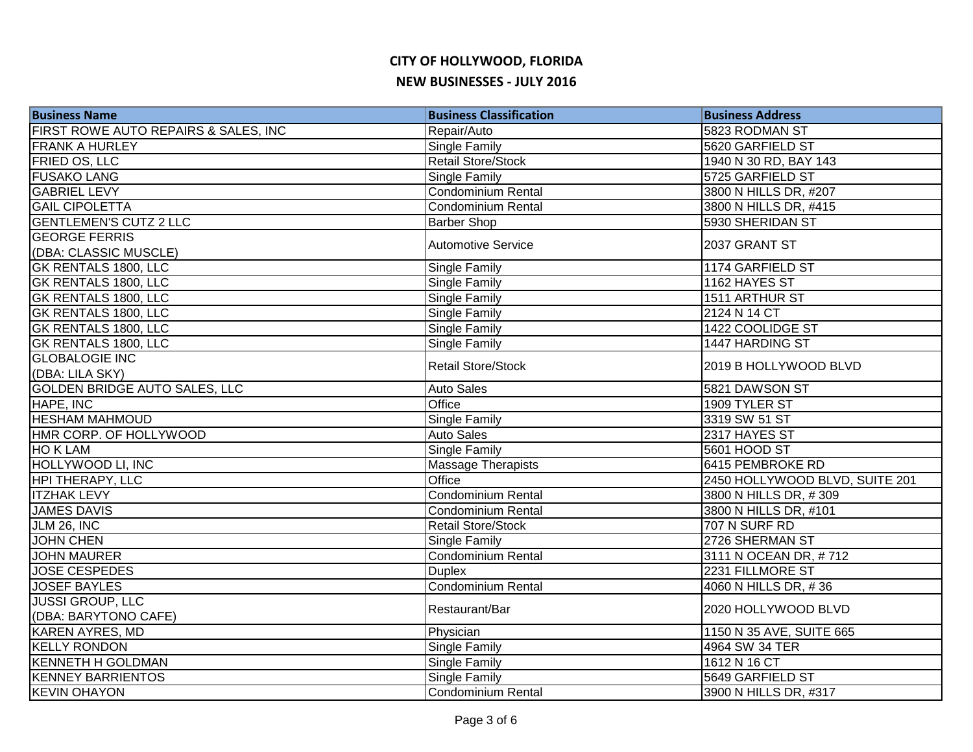| <b>Business Name</b>                 | <b>Business Classification</b> | <b>Business Address</b>           |
|--------------------------------------|--------------------------------|-----------------------------------|
| FIRST ROWE AUTO REPAIRS & SALES, INC | Repair/Auto                    | 5823 RODMAN ST                    |
| <b>FRANK A HURLEY</b>                | Single Family                  | 5620 GARFIELD ST                  |
| <b>FRIED OS, LLC</b>                 | <b>Retail Store/Stock</b>      | 1940 N 30 RD, BAY 143             |
| <b>FUSAKO LANG</b>                   | Single Family                  | 5725 GARFIELD ST                  |
| <b>GABRIEL LEVY</b>                  | Condominium Rental             | 3800 N HILLS DR, #207             |
| <b>GAIL CIPOLETTA</b>                | Condominium Rental             | 3800 N HILLS DR, #415             |
| <b>GENTLEMEN'S CUTZ 2 LLC</b>        | <b>Barber Shop</b>             | 5930 SHERIDAN ST                  |
| <b>GEORGE FERRIS</b>                 | <b>Automotive Service</b>      | 2037 GRANT ST                     |
| (DBA: CLASSIC MUSCLE)                |                                |                                   |
| <b>GK RENTALS 1800, LLC</b>          | Single Family                  | 1174 GARFIELD ST                  |
| <b>GK RENTALS 1800, LLC</b>          | Single Family                  | 1162 HAYES ST                     |
| <b>GK RENTALS 1800, LLC</b>          | Single Family                  | 1511 ARTHUR ST                    |
| <b>GK RENTALS 1800, LLC</b>          | Single Family                  | 2124 N 14 CT                      |
| <b>GK RENTALS 1800, LLC</b>          | Single Family                  | 1422 COOLIDGE ST                  |
| <b>GK RENTALS 1800, LLC</b>          | Single Family                  | 1447 HARDING ST                   |
| <b>GLOBALOGIE INC</b>                | <b>Retail Store/Stock</b>      | 2019 B HOLLYWOOD BLVD             |
| (DBA: LILA SKY)                      |                                |                                   |
| <b>GOLDEN BRIDGE AUTO SALES, LLC</b> | <b>Auto Sales</b>              | 5821 DAWSON ST                    |
| HAPE, INC                            | Office                         | 1909 TYLER ST                     |
| <b>HESHAM MAHMOUD</b>                | <b>Single Family</b>           | 3319 SW 51 ST                     |
| HMR CORP. OF HOLLYWOOD               | <b>Auto Sales</b>              | 2317 HAYES ST                     |
| HO K LAM                             | <b>Single Family</b>           | 5601 HOOD ST                      |
| HOLLYWOOD LI, INC                    | Massage Therapists             | 6415 PEMBROKE RD                  |
| <b>HPI THERAPY, LLC</b>              | Office                         | 2450 HOLLYWOOD BLVD, SUITE 201    |
| <b>ITZHAK LEVY</b>                   | Condominium Rental             | 3800 N HILLS DR, #309             |
| <b>JAMES DAVIS</b>                   | Condominium Rental             | 3800 N HILLS DR, #101             |
| JLM $26,$ INC                        | <b>Retail Store/Stock</b>      | 707 N SURF RD                     |
| <b>JOHN CHEN</b>                     | Single Family                  | 2726 SHERMAN ST                   |
| <b>JOHN MAURER</b>                   | Condominium Rental             | 3111 N OCEAN DR, #712             |
| <b>JOSE CESPEDES</b>                 | <b>Duplex</b>                  | 2231 FILLMORE ST                  |
| <b>JOSEF BAYLES</b>                  | <b>Condominium Rental</b>      | $\overline{4060}$ N HILLS DR, #36 |
| <b>JUSSI GROUP, LLC</b>              | Restaurant/Bar                 | 2020 HOLLYWOOD BLVD               |
| (DBA: BARYTONO CAFE)                 |                                |                                   |
| <b>KAREN AYRES, MD</b>               | Physician                      | 1150 N 35 AVE, SUITE 665          |
| <b>KELLY RONDON</b>                  | Single Family                  | 4964 SW 34 TER                    |
| <b>KENNETH H GOLDMAN</b>             | Single Family                  | 1612 N 16 CT                      |
| <b>KENNEY BARRIENTOS</b>             | <b>Single Family</b>           | 5649 GARFIELD ST                  |
| <b>KEVIN OHAYON</b>                  | Condominium Rental             | 3900 N HILLS DR, #317             |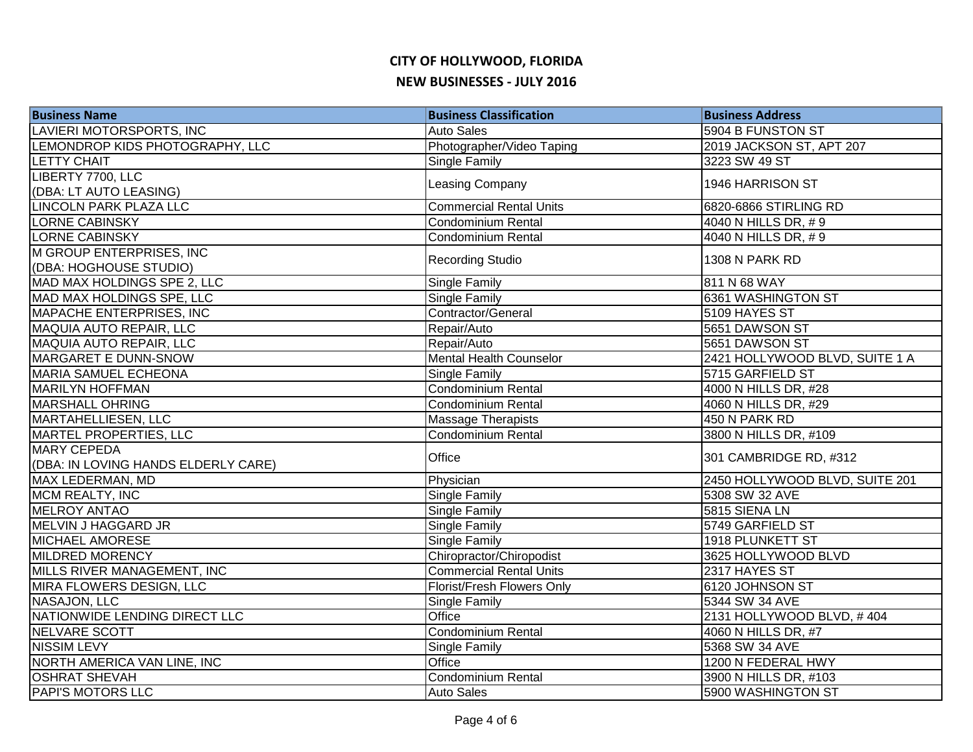| <b>Business Name</b>                | <b>Business Classification</b> | <b>Business Address</b>        |
|-------------------------------------|--------------------------------|--------------------------------|
| LAVIERI MOTORSPORTS, INC            | <b>Auto Sales</b>              | 5904 B FUNSTON ST              |
| LEMONDROP KIDS PHOTOGRAPHY, LLC     | Photographer/Video Taping      | 2019 JACKSON ST, APT 207       |
| <b>LETTY CHAIT</b>                  | Single Family                  | 3223 SW 49 ST                  |
| LIBERTY 7700, LLC                   |                                | 1946 HARRISON ST               |
| (DBA: LT AUTO LEASING)              | Leasing Company                |                                |
| LINCOLN PARK PLAZA LLC              | <b>Commercial Rental Units</b> | 6820-6866 STIRLING RD          |
| <b>LORNE CABINSKY</b>               | Condominium Rental             | 4040 N HILLS DR, #9            |
| <b>LORNE CABINSKY</b>               | Condominium Rental             | 4040 N HILLS DR, #9            |
| M GROUP ENTERPRISES, INC            | <b>Recording Studio</b>        | 1308 N PARK RD                 |
| (DBA: HOGHOUSE STUDIO)              |                                |                                |
| MAD MAX HOLDINGS SPE 2, LLC         | Single Family                  | 811 N 68 WAY                   |
| MAD MAX HOLDINGS SPE, LLC           | Single Family                  | 6361 WASHINGTON ST             |
| MAPACHE ENTERPRISES, INC            | Contractor/General             | 5109 HAYES ST                  |
| MAQUIA AUTO REPAIR, LLC             | Repair/Auto                    | 5651 DAWSON ST                 |
| MAQUIA AUTO REPAIR, LLC             | Repair/Auto                    | 5651 DAWSON ST                 |
| MARGARET E DUNN-SNOW                | <b>Mental Health Counselor</b> | 2421 HOLLYWOOD BLVD, SUITE 1 A |
| <b>MARIA SAMUEL ECHEONA</b>         | Single Family                  | 5715 GARFIELD ST               |
| <b>MARILYN HOFFMAN</b>              | Condominium Rental             | 4000 N HILLS DR, #28           |
| <b>MARSHALL OHRING</b>              | Condominium Rental             | 4060 N HILLS DR, #29           |
| MARTAHELLIESEN, LLC                 | <b>Massage Therapists</b>      | 450 N PARK RD                  |
| MARTEL PROPERTIES, LLC              | Condominium Rental             | 3800 N HILLS DR, #109          |
| <b>MARY CEPEDA</b>                  | Office                         | 301 CAMBRIDGE RD, #312         |
| (DBA: IN LOVING HANDS ELDERLY CARE) |                                |                                |
| MAX LEDERMAN, MD                    | Physician                      | 2450 HOLLYWOOD BLVD, SUITE 201 |
| <b>MCM REALTY, INC</b>              | Single Family                  | 5308 SW 32 AVE                 |
| <b>MELROY ANTAO</b>                 | <b>Single Family</b>           | 5815 SIENA LN                  |
| <b>MELVIN J HAGGARD JR</b>          | Single Family                  | 5749 GARFIELD ST               |
| <b>MICHAEL AMORESE</b>              | Single Family                  | 1918 PLUNKETT ST               |
| <b>MILDRED MORENCY</b>              | Chiropractor/Chiropodist       | 3625 HOLLYWOOD BLVD            |
| MILLS RIVER MANAGEMENT, INC         | <b>Commercial Rental Units</b> | 2317 HAYES ST                  |
| MIRA FLOWERS DESIGN, LLC            | Florist/Fresh Flowers Only     | 6120 JOHNSON ST                |
| NASAJON, LLC                        | Single Family                  | 5344 SW 34 AVE                 |
| NATIONWIDE LENDING DIRECT LLC       | Office                         | 2131 HOLLYWOOD BLVD, #404      |
| NELVARE SCOTT                       | Condominium Rental             | 4060 N HILLS DR, #7            |
| <b>NISSIM LEVY</b>                  | Single Family                  | 5368 SW 34 AVE                 |
| NORTH AMERICA VAN LINE, INC         | Office                         | 1200 N FEDERAL HWY             |
| <b>OSHRAT SHEVAH</b>                | Condominium Rental             | 3900 N HILLS DR, #103          |
| <b>PAPI'S MOTORS LLC</b>            | <b>Auto Sales</b>              | 5900 WASHINGTON ST             |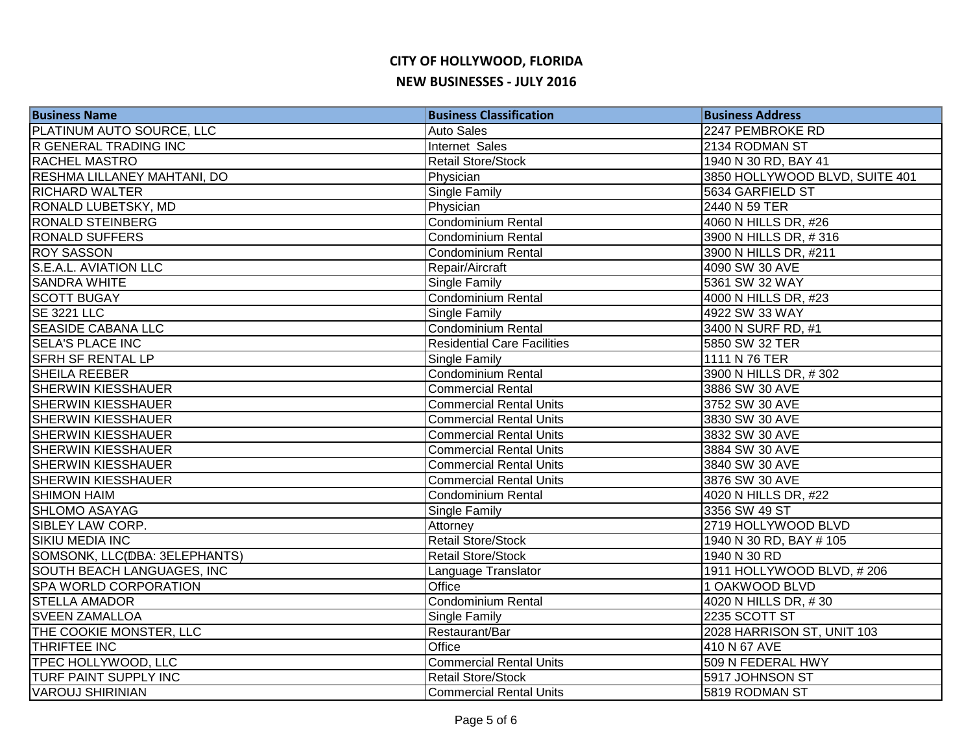| <b>Business Name</b>          | <b>Business Classification</b>     | <b>Business Address</b>        |
|-------------------------------|------------------------------------|--------------------------------|
| PLATINUM AUTO SOURCE, LLC     | <b>Auto Sales</b>                  | 2247 PEMBROKE RD               |
| <b>R GENERAL TRADING INC</b>  | <b>Internet Sales</b>              | 2134 RODMAN ST                 |
| <b>RACHEL MASTRO</b>          | <b>Retail Store/Stock</b>          | 1940 N 30 RD, BAY 41           |
| RESHMA LILLANEY MAHTANI, DO   | Physician                          | 3850 HOLLYWOOD BLVD, SUITE 401 |
| <b>RICHARD WALTER</b>         | Single Family                      | 5634 GARFIELD ST               |
| RONALD LUBETSKY, MD           | Physician                          | 2440 N 59 TER                  |
| <b>RONALD STEINBERG</b>       | Condominium Rental                 | 4060 N HILLS DR, #26           |
| <b>RONALD SUFFERS</b>         | <b>Condominium Rental</b>          | 3900 N HILLS DR, #316          |
| <b>ROY SASSON</b>             | <b>Condominium Rental</b>          | 3900 N HILLS DR, #211          |
| S.E.A.L. AVIATION LLC         | Repair/Aircraft                    | 4090 SW 30 AVE                 |
| <b>SANDRA WHITE</b>           | Single Family                      | 5361 SW 32 WAY                 |
| <b>SCOTT BUGAY</b>            | <b>Condominium Rental</b>          | 4000 N HILLS DR, #23           |
| <b>SE 3221 LLC</b>            | Single Family                      | 4922 SW 33 WAY                 |
| <b>SEASIDE CABANA LLC</b>     | <b>Condominium Rental</b>          | 3400 N SURF RD, #1             |
| <b>SELA'S PLACE INC</b>       | <b>Residential Care Facilities</b> | 5850 SW 32 TER                 |
| <b>SFRH SF RENTAL LP</b>      | Single Family                      | 1111 N 76 TER                  |
| SHEILA REEBER                 | Condominium Rental                 | 3900 N HILLS DR, #302          |
| <b>SHERWIN KIESSHAUER</b>     | <b>Commercial Rental</b>           | 3886 SW 30 AVE                 |
| <b>SHERWIN KIESSHAUER</b>     | <b>Commercial Rental Units</b>     | 3752 SW 30 AVE                 |
| <b>SHERWIN KIESSHAUER</b>     | <b>Commercial Rental Units</b>     | 3830 SW 30 AVE                 |
| <b>SHERWIN KIESSHAUER</b>     | <b>Commercial Rental Units</b>     | 3832 SW 30 AVE                 |
| <b>SHERWIN KIESSHAUER</b>     | <b>Commercial Rental Units</b>     | 3884 SW 30 AVE                 |
| <b>SHERWIN KIESSHAUER</b>     | <b>Commercial Rental Units</b>     | 3840 SW 30 AVE                 |
| <b>SHERWIN KIESSHAUER</b>     | <b>Commercial Rental Units</b>     | 3876 SW 30 AVE                 |
| <b>SHIMON HAIM</b>            | <b>Condominium Rental</b>          | 4020 N HILLS DR, #22           |
| <b>SHLOMO ASAYAG</b>          | Single Family                      | 3356 SW 49 ST                  |
| SIBLEY LAW CORP.              | Attorney                           | 2719 HOLLYWOOD BLVD            |
| <b>SIKIU MEDIA INC</b>        | <b>Retail Store/Stock</b>          | 1940 N 30 RD, BAY # 105        |
| SOMSONK, LLC(DBA: 3ELEPHANTS) | <b>Retail Store/Stock</b>          | 1940 N 30 RD                   |
| SOUTH BEACH LANGUAGES, INC    | Language Translator                | 1911 HOLLYWOOD BLVD, #206      |
| SPA WORLD CORPORATION         | Office                             | 1 OAKWOOD BLVD                 |
| <b>STELLA AMADOR</b>          | <b>Condominium Rental</b>          | 4020 N HILLS DR, #30           |
| <b>SVEEN ZAMALLOA</b>         | Single Family                      | 2235 SCOTT ST                  |
| THE COOKIE MONSTER, LLC       | Restaurant/Bar                     | 2028 HARRISON ST, UNIT 103     |
| THRIFTEE INC                  | Office                             | 410 N 67 AVE                   |
| TPEC HOLLYWOOD, LLC           | <b>Commercial Rental Units</b>     | 509 N FEDERAL HWY              |
| TURF PAINT SUPPLY INC         | <b>Retail Store/Stock</b>          | 5917 JOHNSON ST                |
| <b>VAROUJ SHIRINIAN</b>       | <b>Commercial Rental Units</b>     | 5819 RODMAN ST                 |